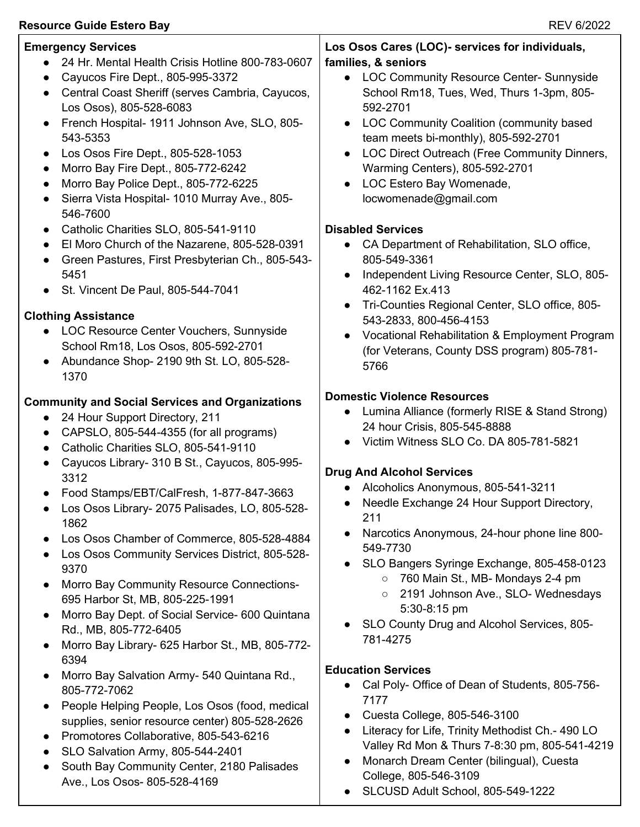## Resource Guide Estero Bay **Resource Guide Estero Bay** REV 6/2022

| <b>Emergency Services</b><br>24 Hr. Mental Health Crisis Hotline 800-783-0607<br>Cayucos Fire Dept., 805-995-3372<br>$\bullet$<br>Central Coast Sheriff (serves Cambria, Cayucos,<br>$\bullet$<br>Los Osos), 805-528-6083<br>French Hospital- 1911 Johnson Ave, SLO, 805-<br>$\bullet$<br>543-5353<br>Los Osos Fire Dept., 805-528-1053<br>$\bullet$<br>Morro Bay Fire Dept., 805-772-6242<br>Morro Bay Police Dept., 805-772-6225<br>Sierra Vista Hospital- 1010 Murray Ave., 805-<br>$\bullet$                                                                                                                                                                                                                                           | Los Osos Cares (LOC)- services for individuals,<br>families, & seniors<br>LOC Community Resource Center- Sunnyside<br>$\bullet$<br>School Rm18, Tues, Wed, Thurs 1-3pm, 805-<br>592-2701<br>LOC Community Coalition (community based<br>$\bullet$<br>team meets bi-monthly), 805-592-2701<br>LOC Direct Outreach (Free Community Dinners,<br>$\bullet$<br>Warming Centers), 805-592-2701<br>LOC Estero Bay Womenade,<br>$\bullet$<br>locwomenade@gmail.com                                                                                                                                                                   |
|--------------------------------------------------------------------------------------------------------------------------------------------------------------------------------------------------------------------------------------------------------------------------------------------------------------------------------------------------------------------------------------------------------------------------------------------------------------------------------------------------------------------------------------------------------------------------------------------------------------------------------------------------------------------------------------------------------------------------------------------|------------------------------------------------------------------------------------------------------------------------------------------------------------------------------------------------------------------------------------------------------------------------------------------------------------------------------------------------------------------------------------------------------------------------------------------------------------------------------------------------------------------------------------------------------------------------------------------------------------------------------|
| 546-7600<br>Catholic Charities SLO, 805-541-9110<br>$\bullet$<br>El Moro Church of the Nazarene, 805-528-0391<br>Green Pastures, First Presbyterian Ch., 805-543-<br>$\bullet$<br>5451<br>St. Vincent De Paul, 805-544-7041<br><b>Clothing Assistance</b><br>LOC Resource Center Vouchers, Sunnyside<br>School Rm18, Los Osos, 805-592-2701<br>Abundance Shop- 2190 9th St. LO, 805-528-<br>1370                                                                                                                                                                                                                                                                                                                                           | <b>Disabled Services</b><br>CA Department of Rehabilitation, SLO office,<br>$\bullet$<br>805-549-3361<br>Independent Living Resource Center, SLO, 805-<br>462-1162 Ex.413<br>Tri-Counties Regional Center, SLO office, 805-<br>$\bullet$<br>543-2833, 800-456-4153<br>Vocational Rehabilitation & Employment Program<br>$\bullet$<br>(for Veterans, County DSS program) 805-781-<br>5766                                                                                                                                                                                                                                     |
| <b>Community and Social Services and Organizations</b><br>24 Hour Support Directory, 211<br>$\bullet$<br>CAPSLO, 805-544-4355 (for all programs)<br>Catholic Charities SLO, 805-541-9110<br>$\bullet$<br>Cayucos Library- 310 B St., Cayucos, 805-995-<br>3312<br>Food Stamps/EBT/CalFresh, 1-877-847-3663<br>$\bullet$<br>Los Osos Library- 2075 Palisades, LO, 805-528-<br>1862<br>Los Osos Chamber of Commerce, 805-528-4884<br>Los Osos Community Services District, 805-528-<br>9370<br>Morro Bay Community Resource Connections-<br>$\bullet$<br>695 Harbor St, MB, 805-225-1991<br>Morro Bay Dept. of Social Service- 600 Quintana<br>$\bullet$<br>Rd., MB, 805-772-6405<br>Morro Bay Library- 625 Harbor St., MB, 805-772-<br>6394 | <b>Domestic Violence Resources</b><br>Lumina Alliance (formerly RISE & Stand Strong)<br>$\bullet$<br>24 hour Crisis, 805-545-8888<br>Victim Witness SLO Co. DA 805-781-5821<br>$\bullet$<br><b>Drug And Alcohol Services</b><br>Alcoholics Anonymous, 805-541-3211<br>Needle Exchange 24 Hour Support Directory,<br>211<br>Narcotics Anonymous, 24-hour phone line 800-<br>$\bullet$<br>549-7730<br>SLO Bangers Syringe Exchange, 805-458-0123<br>$\bullet$<br>○ 760 Main St., MB- Mondays 2-4 pm<br>2191 Johnson Ave., SLO- Wednesdays<br>$\circ$<br>5:30-8:15 pm<br>SLO County Drug and Alcohol Services, 805-<br>781-4275 |
| Morro Bay Salvation Army- 540 Quintana Rd.,<br>805-772-7062<br>People Helping People, Los Osos (food, medical<br>$\bullet$<br>supplies, senior resource center) 805-528-2626<br>Promotores Collaborative, 805-543-6216<br>SLO Salvation Army, 805-544-2401<br>South Bay Community Center, 2180 Palisades<br>$\bullet$<br>Ave., Los Osos- 805-528-4169                                                                                                                                                                                                                                                                                                                                                                                      | <b>Education Services</b><br>Cal Poly- Office of Dean of Students, 805-756-<br>7177<br>Cuesta College, 805-546-3100<br>$\bullet$<br>Literacy for Life, Trinity Methodist Ch.- 490 LO<br>$\bullet$<br>Valley Rd Mon & Thurs 7-8:30 pm, 805-541-4219<br>Monarch Dream Center (bilingual), Cuesta<br>$\bullet$<br>College, 805-546-3109                                                                                                                                                                                                                                                                                         |

● SLCUSD Adult School, 805-549-1222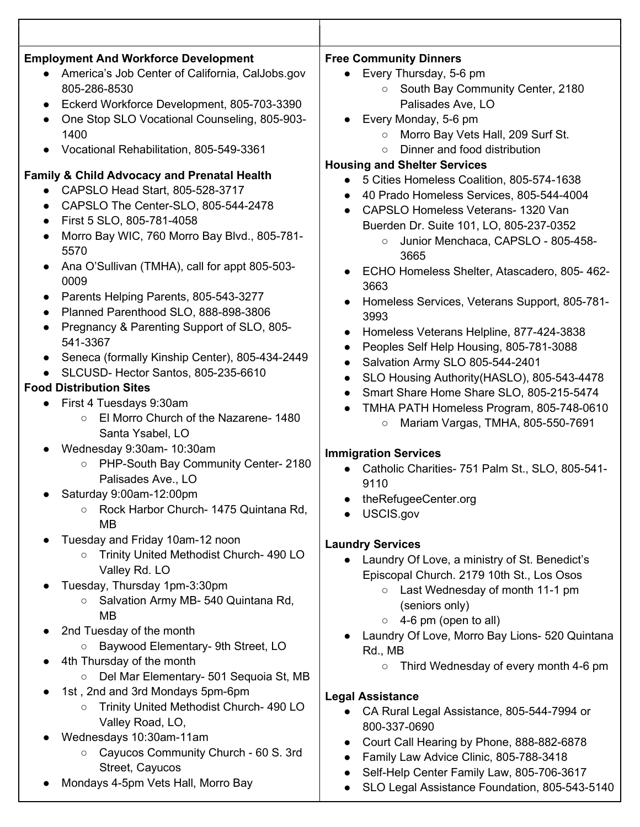| <b>Employment And Workforce Development</b><br>America's Job Center of California, CalJobs.gov<br>805-286-8530<br>Eckerd Workforce Development, 805-703-3390<br>One Stop SLO Vocational Counseling, 805-903-<br>$\bullet$<br>1400<br>Vocational Rehabilitation, 805-549-3361<br><b>Family &amp; Child Advocacy and Prenatal Health</b><br>CAPSLO Head Start, 805-528-3717<br>CAPSLO The Center-SLO, 805-544-2478<br>First 5 SLO, 805-781-4058<br>$\bullet$<br>Morro Bay WIC, 760 Morro Bay Blvd., 805-781-<br>$\bullet$<br>5570<br>Ana O'Sullivan (TMHA), call for appt 805-503-<br>0009<br>Parents Helping Parents, 805-543-3277<br>$\bullet$<br>Planned Parenthood SLO, 888-898-3806<br>Pregnancy & Parenting Support of SLO, 805-<br>$\bullet$<br>541-3367<br>Seneca (formally Kinship Center), 805-434-2449<br>SLCUSD- Hector Santos, 805-235-6610<br><b>Food Distribution Sites</b><br>First 4 Tuesdays 9:30am<br>El Morro Church of the Nazarene-1480<br>$\circ$<br>Santa Ysabel, LO<br>Wednesday 9:30am- 10:30am<br>PHP-South Bay Community Center- 2180<br>$\circ$<br>Palisades Ave., LO | <b>Free Community Dinners</b><br>Every Thursday, 5-6 pm<br>South Bay Community Center, 2180<br>$\circ$<br>Palisades Ave, LO<br>Every Monday, 5-6 pm<br>Morro Bay Vets Hall, 209 Surf St.<br>$\circ$<br>Dinner and food distribution<br>$\circ$<br><b>Housing and Shelter Services</b><br>5 Cities Homeless Coalition, 805-574-1638<br>40 Prado Homeless Services, 805-544-4004<br>$\bullet$<br>CAPSLO Homeless Veterans- 1320 Van<br>Buerden Dr. Suite 101, LO, 805-237-0352<br>Junior Menchaca, CAPSLO - 805-458-<br>$\circ$<br>3665<br>ECHO Homeless Shelter, Atascadero, 805-462-<br>3663<br>Homeless Services, Veterans Support, 805-781-<br>$\bullet$<br>3993<br>Homeless Veterans Helpline, 877-424-3838<br>$\bullet$<br>Peoples Self Help Housing, 805-781-3088<br>Salvation Army SLO 805-544-2401<br>SLO Housing Authority (HASLO), 805-543-4478<br>$\bullet$<br>Smart Share Home Share SLO, 805-215-5474<br>$\bullet$<br>TMHA PATH Homeless Program, 805-748-0610<br>Mariam Vargas, TMHA, 805-550-7691<br>$\bigcirc$<br><b>Immigration Services</b><br>Catholic Charities- 751 Palm St., SLO, 805-541-<br>9110 |
|--------------------------------------------------------------------------------------------------------------------------------------------------------------------------------------------------------------------------------------------------------------------------------------------------------------------------------------------------------------------------------------------------------------------------------------------------------------------------------------------------------------------------------------------------------------------------------------------------------------------------------------------------------------------------------------------------------------------------------------------------------------------------------------------------------------------------------------------------------------------------------------------------------------------------------------------------------------------------------------------------------------------------------------------------------------------------------------------------|-------------------------------------------------------------------------------------------------------------------------------------------------------------------------------------------------------------------------------------------------------------------------------------------------------------------------------------------------------------------------------------------------------------------------------------------------------------------------------------------------------------------------------------------------------------------------------------------------------------------------------------------------------------------------------------------------------------------------------------------------------------------------------------------------------------------------------------------------------------------------------------------------------------------------------------------------------------------------------------------------------------------------------------------------------------------------------------------------------------------------|
| Saturday 9:00am-12:00pm<br>Rock Harbor Church- 1475 Quintana Rd,<br>$\circ$<br><b>MB</b>                                                                                                                                                                                                                                                                                                                                                                                                                                                                                                                                                                                                                                                                                                                                                                                                                                                                                                                                                                                                         | theRefugeeCenter.org<br>USCIS.gov                                                                                                                                                                                                                                                                                                                                                                                                                                                                                                                                                                                                                                                                                                                                                                                                                                                                                                                                                                                                                                                                                       |
| Tuesday and Friday 10am-12 noon<br>Trinity United Methodist Church- 490 LO<br>$\circ$<br>Valley Rd. LO<br>Tuesday, Thursday 1pm-3:30pm<br>Salvation Army MB- 540 Quintana Rd,<br>$\circ$<br><b>MB</b><br>2nd Tuesday of the month<br>Baywood Elementary- 9th Street, LO<br>O<br>4th Thursday of the month<br>Del Mar Elementary- 501 Sequoia St, MB<br>$\circ$                                                                                                                                                                                                                                                                                                                                                                                                                                                                                                                                                                                                                                                                                                                                   | <b>Laundry Services</b><br>Laundry Of Love, a ministry of St. Benedict's<br>Episcopal Church. 2179 10th St., Los Osos<br>Last Wednesday of month 11-1 pm<br>$\circ$<br>(seniors only)<br>4-6 pm (open to all)<br>$\circ$<br>Laundry Of Love, Morro Bay Lions- 520 Quintana<br>Rd., MB<br>Third Wednesday of every month 4-6 pm<br>$\circ$                                                                                                                                                                                                                                                                                                                                                                                                                                                                                                                                                                                                                                                                                                                                                                               |
| 1st, 2nd and 3rd Mondays 5pm-6pm<br>Trinity United Methodist Church- 490 LO<br>$\circ$<br>Valley Road, LO,<br>Wednesdays 10:30am-11am<br>Cayucos Community Church - 60 S. 3rd<br>$\circ$<br>Street, Cayucos<br>Mondays 4-5pm Vets Hall, Morro Bay                                                                                                                                                                                                                                                                                                                                                                                                                                                                                                                                                                                                                                                                                                                                                                                                                                                | <b>Legal Assistance</b><br>CA Rural Legal Assistance, 805-544-7994 or<br>800-337-0690<br>Court Call Hearing by Phone, 888-882-6878<br>$\bullet$<br>Family Law Advice Clinic, 805-788-3418<br>Self-Help Center Family Law, 805-706-3617<br>SLO Legal Assistance Foundation, 805-543-5140                                                                                                                                                                                                                                                                                                                                                                                                                                                                                                                                                                                                                                                                                                                                                                                                                                 |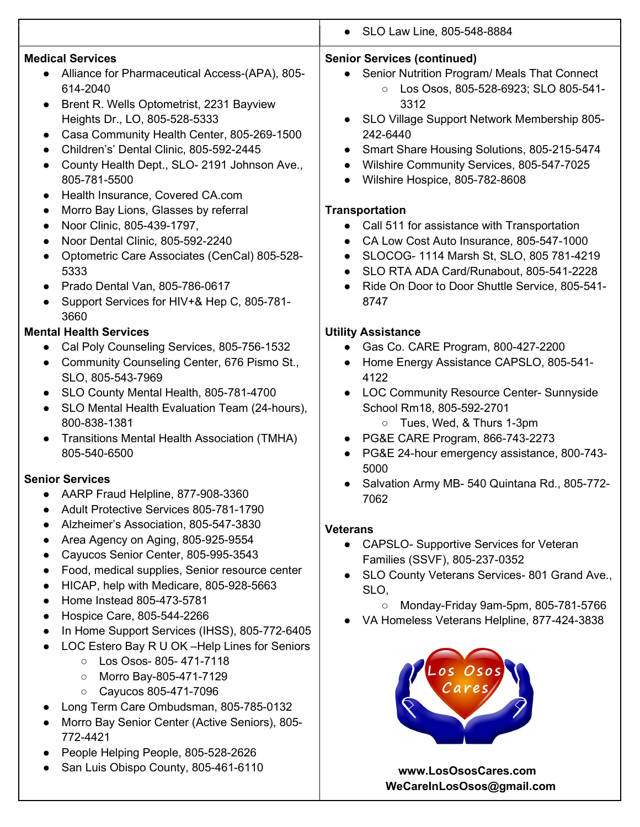|                                                                                                                                                                                                                                                                                                                                                                                                                                                                                                                                                                                                                                                                                                                                                                                                                                                                              | • SLO Law Line, 805-548-8884                                                                                                                                                                                                                                                                                                                                                                                                                                                                                                                                                                                                                                                                                                                                                               |
|------------------------------------------------------------------------------------------------------------------------------------------------------------------------------------------------------------------------------------------------------------------------------------------------------------------------------------------------------------------------------------------------------------------------------------------------------------------------------------------------------------------------------------------------------------------------------------------------------------------------------------------------------------------------------------------------------------------------------------------------------------------------------------------------------------------------------------------------------------------------------|--------------------------------------------------------------------------------------------------------------------------------------------------------------------------------------------------------------------------------------------------------------------------------------------------------------------------------------------------------------------------------------------------------------------------------------------------------------------------------------------------------------------------------------------------------------------------------------------------------------------------------------------------------------------------------------------------------------------------------------------------------------------------------------------|
| <b>Medical Services</b><br>Alliance for Pharmaceutical Access-(APA), 805-<br>$\bullet$<br>614-2040<br>Brent R. Wells Optometrist, 2231 Bayview<br>$\bullet$<br>Heights Dr., LO, 805-528-5333<br>Casa Community Health Center, 805-269-1500<br>Children's' Dental Clinic, 805-592-2445<br>$\bullet$<br>County Health Dept., SLO- 2191 Johnson Ave.,<br>805-781-5500<br>Health Insurance, Covered CA.com<br>$\bullet$<br>Morro Bay Lions, Glasses by referral<br>$\bullet$<br>Noor Clinic, 805-439-1797,<br>$\bullet$<br>Noor Dental Clinic, 805-592-2240<br>$\bullet$<br>Optometric Care Associates (CenCal) 805-528-<br>5333<br>Prado Dental Van, 805-786-0617<br>$\bullet$<br>Support Services for HIV+& Hep C, 805-781-<br>3660<br><b>Mental Health Services</b><br>Cal Poly Counseling Services, 805-756-1532<br>$\bullet$<br>Community Counseling Center, 676 Pismo St., | <b>Senior Services (continued)</b><br>Senior Nutrition Program/ Meals That Connect<br>$\bullet$<br>Los Osos, 805-528-6923; SLO 805-541-<br>$\circ$<br>3312<br>SLO Village Support Network Membership 805-<br>242-6440<br>Smart Share Housing Solutions, 805-215-5474<br>Wilshire Community Services, 805-547-7025<br>Wilshire Hospice, 805-782-8608<br>$\bullet$<br><b>Transportation</b><br>Call 511 for assistance with Transportation<br>CA Low Cost Auto Insurance, 805-547-1000<br>$\bullet$<br>SLOCOG- 1114 Marsh St, SLO, 805 781-4219<br>$\bullet$<br>SLO RTA ADA Card/Runabout, 805-541-2228<br>Ride On Door to Door Shuttle Service, 805-541-<br>8747<br><b>Utility Assistance</b><br>Gas Co. CARE Program, 800-427-2200<br>$\bullet$<br>Home Energy Assistance CAPSLO, 805-541- |
| SLO, 805-543-7969<br>SLO County Mental Health, 805-781-4700<br>$\bullet$<br>SLO Mental Health Evaluation Team (24-hours),<br>800-838-1381<br>Transitions Mental Health Association (TMHA)<br>805-540-6500                                                                                                                                                                                                                                                                                                                                                                                                                                                                                                                                                                                                                                                                    | 4122<br>LOC Community Resource Center- Sunnyside<br>School Rm18, 805-592-2701<br>Tues, Wed, & Thurs 1-3pm<br>$\circ$<br>PG&E CARE Program, 866-743-2273<br>PG&E 24-hour emergency assistance, 800-743-<br>5000                                                                                                                                                                                                                                                                                                                                                                                                                                                                                                                                                                             |
| <b>Senior Services</b><br>AARP Fraud Helpline, 877-908-3360<br>Adult Protective Services 805-781-1790<br>Alzheimer's Association, 805-547-3830<br>Area Agency on Aging, 805-925-9554<br>Cayucos Senior Center, 805-995-3543<br>Food, medical supplies, Senior resource center<br>HICAP, help with Medicare, 805-928-5663<br>Home Instead 805-473-5781<br>$\bullet$<br>Hospice Care, 805-544-2266<br>In Home Support Services (IHSS), 805-772-6405<br>LOC Estero Bay R U OK -Help Lines for Seniors<br>Los Osos- 805-471-7118<br>$\circ$<br>Morro Bay-805-471-7129<br>$\circ$<br>Cayucos 805-471-7096<br>$\circ$<br>Long Term Care Ombudsman, 805-785-0132<br>Morro Bay Senior Center (Active Seniors), 805-<br>772-4421<br>People Helping People, 805-528-2626                                                                                                               | Salvation Army MB- 540 Quintana Rd., 805-772-<br>7062<br><b>Veterans</b><br><b>CAPSLO-</b> Supportive Services for Veteran<br>$\bullet$<br>Families (SSVF), 805-237-0352<br>SLO County Veterans Services- 801 Grand Ave.,<br>SLO.<br>Monday-Friday 9am-5pm, 805-781-5766<br>$\circ$<br>VA Homeless Veterans Helpline, 877-424-3838                                                                                                                                                                                                                                                                                                                                                                                                                                                         |

● San Luis Obispo County, 805-461-6110 www.LosOsosCares.com

WeCareInLosOsos@gmail.com